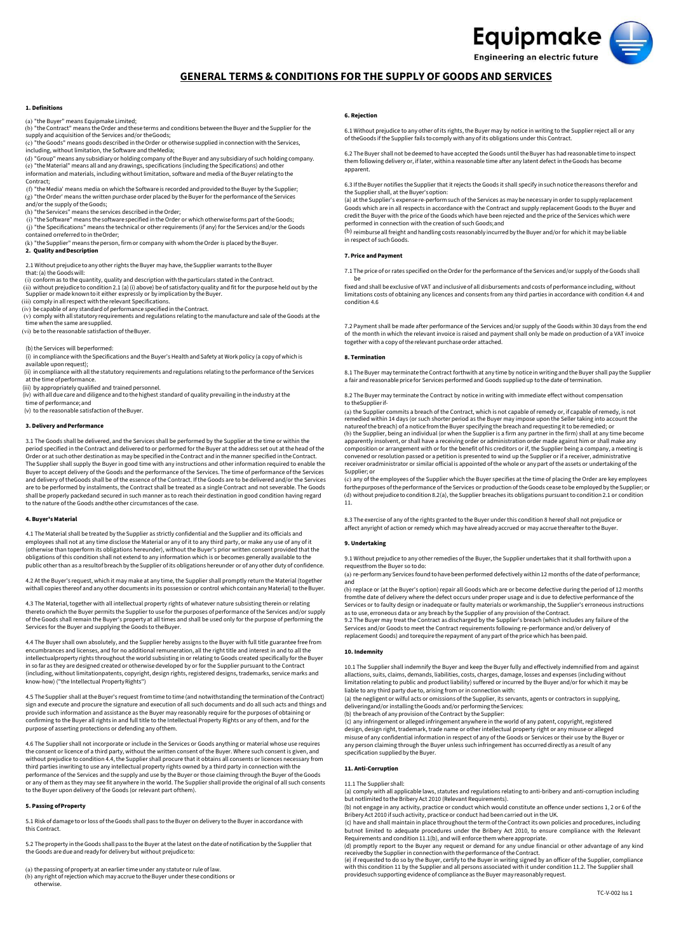# Equipmake Engineering an electric future

# **GENERAL TERMS & CONDITIONS FOR THE SUPPLY OF GOODS AND SERVICES**

#### **1. Definitions**

(a) "the Buyer" means Equipmake Limited;

- (b) "the Contract" means the Order and these terms and conditions between the Buyer and the Supplier for the supply and acquisition of the Services and/or the Goods;
- (c) "the Goods" means goods described in the Order or otherwise supplied in connection with the Services, including, without limitation, the Software and the Media;
- (d) "Group" means any subsidiary or holding company ofthe Buyer and any subsidiary of such holding company. (e) "the Material" means all and any drawings, specifications (including the Specifications) and other information and materials, including without limitation, software and media ofthe Buyer relating tothe
- Contract; (f) "the Media' means media on which the Software is recorded and provided tothe Buyer by the Supplier; (g) "the Order' means the written purchase order placed by the Buyer for the performance of the Services and/or the supply of the Goods;
- 
- (h) "the Services" means the services described inthe Order; (i) "the Software" means the software specified inthe Order or which otherwise forms part ofthe Goods; (j) "the Specifications" means the technical or other requirements (if any) for the Services and/or the Goods
- contained orreferred to in the Order; (k) "the Supplier" means the person, firm or company with whom the Order is placed by the Buyer.

#### **2. Quality andDescription**

2.1 Without prejudice toany other rights the Buyer may have, the Supplier warrants to the Buyer

- 
- that: (a) the Goods will: (i) conform as to the quantity, quality and description with the particulars stated in the Contract.
- (ii) without prejudice to condition 2.1 (a) (i) above) be of satisfactory quality and fit for the purpose held out by the<br>Supplier or made known to it either expressly or by implication by the Buyer.<br>(iii) comply in all re
- 
- (v) comply with all statutory requirements and regulations relating to the manufacture and sale ofthe Goods at the time when the same are supplied.

#### (vi) be to the reasonable satisfaction of the Buyer.

(b) the Services will be performed:

- (i) incompliance with the Specifications and the Buyer's Health and Safety at Work policy (a copy of which is available upon request); (ii) in compliance with all the statutory requirements and regulations relating to the performance ofthe Services
- 
- at the time ofperformance. (iii) by appropriately qualified and trained personnel.
- (iv) with all due care and diligence and to the highest standard of quality prevailing in the industry at the
- time of performance; and
- (v) to the reasonable satisfaction of the Buyer.

#### **3. Delivery andPerformance**

3.1 The Goods shall be delivered, and the Services shall be performed by the Supplier at the time or within the period specified in the Contract and delivered to or performed for the Buyer at the address set out atthe head of the Order or at such other destination as may be specified inthe Contract and inthe manner specified in the Contract. The Supplier shall supply the Buyer in good time with any instructions and other information required to enable the Buyer to accept delivery of the Goods and the performance of the Services. The time of performance of the Services<br>and delivery of theGoods shall be of the essence of the Contract. If the Goods are to be delivered and/or t are to be performed by instalments, the Contract shall be treated as a single Contract and not severable. The Goods shall be properly packed and secured in such manner as to reach their destination in good condition having regard to the nature of the Goods and the other circumstances of the case.

#### **4. Buyer's Material**

4.1 The Material shall be treated by the Supplier as strictly confidential and the Supplier and its officials and employees shall not at any time disclose the Material or any of it to any third party, or make any use of any of it (otherwise than to perform its obligations hereunder), without the Buyer's prior written consent provided that the obligations of this condition shall not extend to any information which is or becomes generally available to the public other than as a result of breach by the Supplier of its obligations hereunder or of any other duty of confidence

4.2 At the Buyer's request, which it may make at any time, the Supplier shall promptly return the Material (togethe with all copies thereof and any other documents in its possession or control which contain any Material) to the Buyer.

4.3 The Material, together with all intellectual property rights of whatever nature subsisting therein or relating thereto orwhich the Buyer permits the Supplier to use for the purposes of performance of the Services and/or supply<br>of the Goods shall remain the Buyer's property at all times and shall be used only for the purpose of perf Services for the Buyer and supplying the Goods to the Buyer.

4.4 The Buyer shall own absolutely, and the Supplier hereby assigns to the Buyer with full title guarantee free from encumbrances and licenses, and for no additional remuneration, all the right title and interest in and to all the intellectual property rights throughout the world subsisting in or relating to Goods created specifically for the Buyer in so far as they are designed created or otherwise developed by or for the Supplier pursuant to the Contract<br>(including, without limitationpatents, copyright, design rights, registered designs, trademarks, service marks a know-how) ("the Intellectual Property Rights")

4.5 The Supplier shall at the Buyer's request from time to time (and notwithstanding the termination ofthe Contract) sign and execute and procure the signature and execution of all such documents and do all such acts and things and provide such information and assistance as the Buyer may reasonably require for the purposes of obtaining or<br>confirming to the Buyer all rights in and full title to the Intellectual Property Rights or any of them, and for purpose of asserting protections or defending any ofthem.

4.6 The Supplier shall not incorporate or include in the Services or Goods anything or material whose use requires the consent or licence of a third party, without the written consent of the Buyer. Where such consent is given, and<br>without prejudice to condition 4.4, the Supplier shall procure that it obtains all consents or licences ne third parties inwriting to use any intellectual property rights owned by a third party in connection with the<br>performance of the Services and the supply and use by the Buyer or those claiming through the Buyer of the Goods or any of them as they may see fit anywhere in the world. The Supplier shall provide the original of all such consents to the Buyer upon delivery of the Goods (or relevant part ofthem).

#### **5. Passing ofProperty**

5.1 Risk of damage to or loss ofthe Goods shall pass tothe Buyer on delivery tothe Buyer in accordance with this Contract.

5.2 The property in the Goods shall pass tothe Buyer atthe latest on the date of notification by the Supplier that the Goods are due and ready for delivery but without prejudice to:

(a) the passing of property at anearlier time under any statute or rule of law. (b) any right of rejection which may accrue tothe Buyer under these conditions or otherwise.

#### **6. Rejection**

6.1 Without prejudice to any other of its rights, the Buyer may by notice in writing to the Supplier reject all or any of the Goods if the Supplier fails to comply with any of its obligations under this Contract.

6.2 The Buyer shall not bedeemed to have accepted the Goods until the Buyer has had reasonable time to inspect them following delivery or, if later, within a reasonable time after any latent defect in the Goods has become apparent.

6.3 Ifthe Buyer notifies the Supplier that it rejects the Goods it shall specify insuch notice the reasons therefor and the Supplier shall, at the Buyer's option: (a) at the Supplier's expense re-perform such ofthe Services as may benecessary in order tosupply replacement

Goods which are in all respects in accordance with the Contract and supply replacement Goods to the Buyer and credit the Buyer with the price of the Goods which have been rejected and the price of the Services which were

performed in connection with the creation of such Goods; and<br><sup>(b)</sup> reimburse all freight and handling costs reasonably incurred by the Buyer and/or for which it may be liable in respect of such Goods.

## **7. Price and Payment**

7.1 The price of or rates specified on the Order for the performance of the Services and/or supply of the Goods shall

be fixed and shall be exclusive of VAT and inclusive of all disbursements and costs of performance including, without limitations costs of obtaining any licences and consents from any third parties in accordance with condition 4.4 and condition 4.6

7.2 Payment shall be made after performance of the Services and/or supply of the Goods within 30 days from the end<br>of the month in which the relevant invoice is raised and payment shall only be made on production of a VAT together with a copy of the relevant purchase order attached.

#### **8. Termination**

8.1 The Buyer may terminate the Contract forthwith at any time by notice in writing and the Buyer shall pay the Supplier a fair and reasonable price for Services performed and Goods supplied up tothe date oftermination.

8.2 The Buyer may terminate the Contract by notice in writing with immediate effect without compensation to the Supplier if-

(a) the Supplier commits a breach of the Contract, which is not capable of remedy or, if capable of remedy, is not<br>remedied within 14 days (or such shorter period as the Buyer may impose upon the Seller taking into account nature ofthe breach) of a notice from the Buyer specifying the breach and requesting it tobe remedied; or (b) the Supplier, being an individual (or when the Supplier is a firm any partner in the firm) shall at any time become<br>apparently insolvent, or shall have a receiving order or administration order made against him or shal composition or arrangement with or for the benefit of his creditors or if, the Supplier being a company, a meeting is<br>convened or resolution passed or a petition is presented to wind up the Supplier or if a receiver, admin receiver or administrator or similar official is appointed of the whole or any part of the assets or undertaking of the Supplier; or

(c) any of the employees of the Supplier which the Buyer specifies at the time of placing the Order are key employees forthe purposes of the performance of the Services or production of the Goods cease to be employed by the Supplier; oı<br>(d) without prejudice to condition 8.2(a), the Supplier breaches its obligations pursuant to condition 11.

8.3 The exercise of any of the rights granted to the Buyer under this condition 8 hereof shall not prejudice or affect anyright of action or remedy which may have already accrued or may accrue thereafter tothe Buyer.

### **9. Undertaking**

9.1 Without prejudice to any other remedies of the Buyer, the Supplier undertakes that it shall forthwith upon a request from the Buyer so to do:

(a) re-perform any Services found tohave been performed defectively within 12 months ofthe date of performance; and

(b) replace or (at the Buyer's option) repair all Goods which are or become defective during the period of 12 months from the date of delivery where the defect occurs under proper usage and is due to defective performance of the Services or to faulty design or inadequate or faulty materials or workmanship, the Supplier's erroneous instructions as to use, erroneous data or any breach by the Supplier of any provision of the Contract.

9.2 The Buyer may treat the Contract as discharged by the Supplier's breach (which includes any failure of the Services and/or Goods to meet the Contract requirements following re-performance and/or delivery of replacement Goods) and torequire the repayment of any part of the price which has been paid.

#### **10. Indemnity**

10.1 The Supplier shall indemnify the Buyer and keep the Buyer fully and effectively indemnified from and against allactions, suits, claims, demands, liabilities, costs, charges, damage, losses and expenses (including without<br>limitation relating to public and product liability) suffered or incurred by the Buyer and/or for which it may liable to any third party due to, arising from or in connection with:

(a) the negligent or wilful acts or omissions of the Supplier, its servants, agents or contractors in supplying, delivering and/or installing the Goods and/or performing the Services: (b) the breach of any provision of the Contract by the Supplier:

(c) any infringement or alleged infringement anywhere in the world of any patent, copyright, registered<br>design, design right, trademark, trade name or other intellectual property right or any misuse or alleged<br>misuse of an any person claiming through the Buyer unless such infringement has occurred directly as a result of any specification supplied by the Buyer.

#### **11. Anti-Corruption**

11.1 The Supplier shall:

(a) comply with all applicable laws, statutes and regulations relating to anti-bribery and anti-corruption including but not limited to the Bribery Act 2010 (Relevant Requirements).

(b) not engage in any activity, practice or conduct which would constitute an offence under sections 1, 2 or 6 of the Bribery Act 2010 if such activity, practice or conduct had been carried out inthe UK. (c) have and shall maintain in place throughout the term of the Contract its own policies and procedures, including

but not limited to adequate procedures under the Bribery Act 2010, to ensure compliance with the Relevant Requirements and condition 11.1(b), and will enforce them where appropriate.

(d) promptly report to the Buyer any request or demand for any undue financial or other advantage of any kind<br>receivedby the Supplier in connection with the performance of the Contract.<br>(e) if requested to do so by the Buy

with this condition 11 by the Supplier and all persons associated with it under condition 11.2. The Supplier shall<br>providesuch supporting evidence of compliance as the Buyer may reasonably request.